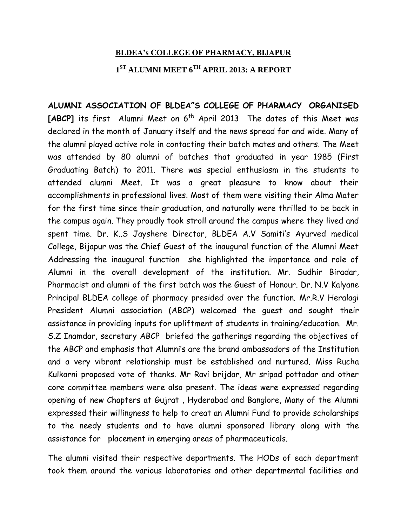## **BLDEA's COLLEGE OF PHARMACY, BIJAPUR**

## **1 ST ALUMNI MEET 6TH APRIL 2013: A REPORT**

**ALUMNI ASSOCIATION OF BLDEA"S COLLEGE OF PHARMACY ORGANISED** [ABCP] its first Alumni Meet on 6<sup>th</sup> April 2013 The dates of this Meet was declared in the month of January itself and the news spread far and wide. Many of the alumni played active role in contacting their batch mates and others. The Meet was attended by 80 alumni of batches that graduated in year 1985 (First Graduating Batch) to 2011. There was special enthusiasm in the students to attended alumni Meet. It was a great pleasure to know about their accomplishments in professional lives. Most of them were visiting their Alma Mater for the first time since their graduation, and naturally were thrilled to be back in the campus again. They proudly took stroll around the campus where they lived and spent time. Dr. K..S Jayshere Director, BLDEA A.V Samiti's Ayurved medical College, Bijapur was the Chief Guest of the inaugural function of the Alumni Meet Addressing the inaugural function she highlighted the importance and role of Alumni in the overall development of the institution. Mr. Sudhir Biradar, Pharmacist and alumni of the first batch was the Guest of Honour. Dr. N.V Kalyane Principal BLDEA college of pharmacy presided over the function. Mr.R.V Heralagi President Alumni association (ABCP) welcomed the guest and sought their assistance in providing inputs for upliftment of students in training/education. Mr. S.Z Inamdar, secretary ABCP briefed the gatherings regarding the objectives of the ABCP and emphasis that Alumni's are the brand ambassadors of the Institution and a very vibrant relationship must be established and nurtured. Miss Rucha Kulkarni proposed vote of thanks. Mr Ravi brijdar, Mr sripad pottadar and other core committee members were also present. The ideas were expressed regarding opening of new Chapters at Gujrat , Hyderabad and Banglore, Many of the Alumni expressed their willingness to help to creat an Alumni Fund to provide scholarships to the needy students and to have alumni sponsored library along with the assistance for placement in emerging areas of pharmaceuticals.

The alumni visited their respective departments. The HODs of each department took them around the various laboratories and other departmental facilities and